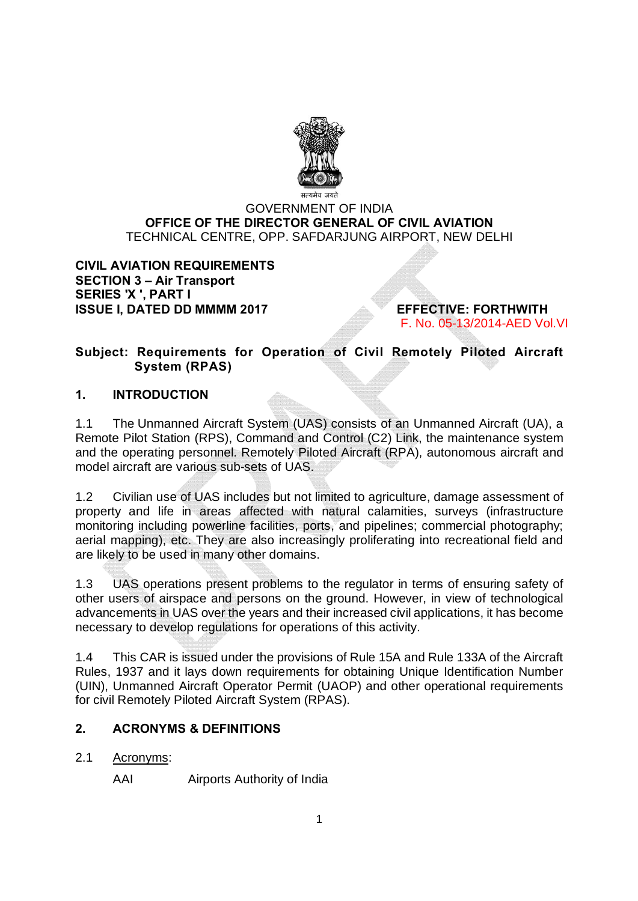

# GOVERNMENT OF INDIA **OFFICE OF THE DIRECTOR GENERAL OF CIVIL AVIATION** TECHNICAL CENTRE, OPP. SAFDARJUNG AIRPORT, NEW DELHI

## **CIVIL AVIATION REQUIREMENTS SECTION 3 – Air Transport SERIES 'X ', PART I ISSUE I, DATED DD MMMM 2017 EFFECTIVE: FORTHWITH**

F. No. 05-13/2014-AED Vol.VI

# **Subject: Requirements for Operation of Civil Remotely Piloted Aircraft System (RPAS)**

# **1. INTRODUCTION**

1.1 The Unmanned Aircraft System (UAS) consists of an Unmanned Aircraft (UA), a Remote Pilot Station (RPS), Command and Control (C2) Link, the maintenance system and the operating personnel. Remotely Piloted Aircraft (RPA), autonomous aircraft and model aircraft are various sub-sets of UAS.

1.2 Civilian use of UAS includes but not limited to agriculture, damage assessment of property and life in areas affected with natural calamities, surveys (infrastructure monitoring including powerline facilities, ports, and pipelines; commercial photography; aerial mapping), etc. They are also increasingly proliferating into recreational field and are likely to be used in many other domains.

1.3 UAS operations present problems to the regulator in terms of ensuring safety of other users of airspace and persons on the ground. However, in view of technological advancements in UAS over the years and their increased civil applications, it has become necessary to develop regulations for operations of this activity.

1.4 This CAR is issued under the provisions of Rule 15A and Rule 133A of the Aircraft Rules, 1937 and it lays down requirements for obtaining Unique Identification Number (UIN), Unmanned Aircraft Operator Permit (UAOP) and other operational requirements for civil Remotely Piloted Aircraft System (RPAS).

# **2. ACRONYMS & DEFINITIONS**

2.1 Acronyms:

AAI Airports Authority of India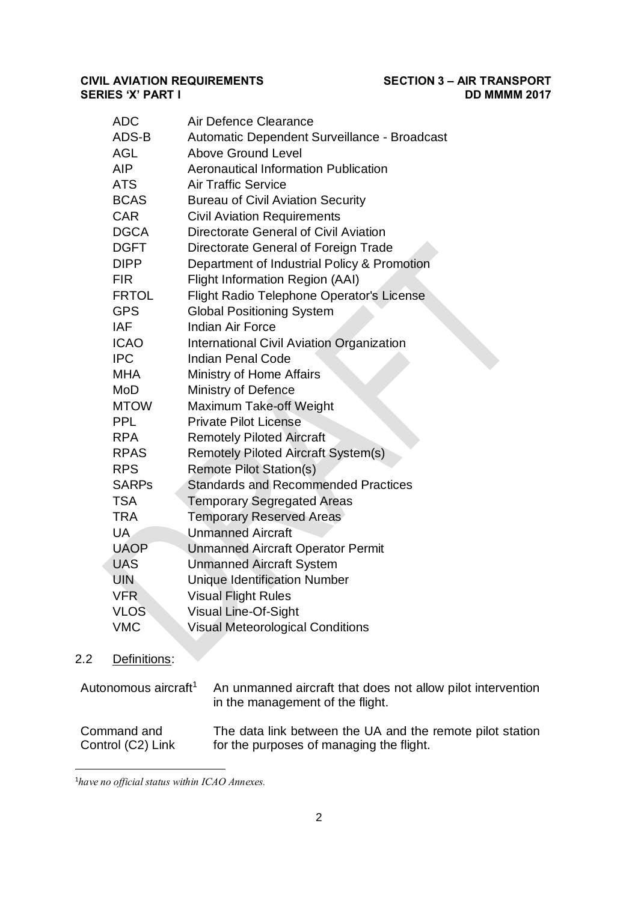| <b>ADC</b>   | Air Defence Clearance                            |
|--------------|--------------------------------------------------|
| ADS-B        | Automatic Dependent Surveillance - Broadcast     |
| <b>AGL</b>   | <b>Above Ground Level</b>                        |
| <b>AIP</b>   | <b>Aeronautical Information Publication</b>      |
| <b>ATS</b>   | <b>Air Traffic Service</b>                       |
| <b>BCAS</b>  | <b>Bureau of Civil Aviation Security</b>         |
| <b>CAR</b>   | <b>Civil Aviation Requirements</b>               |
| <b>DGCA</b>  | Directorate General of Civil Aviation            |
| <b>DGFT</b>  | Directorate General of Foreign Trade             |
| <b>DIPP</b>  | Department of Industrial Policy & Promotion      |
| <b>FIR</b>   | <b>Flight Information Region (AAI)</b>           |
| <b>FRTOL</b> | <b>Flight Radio Telephone Operator's License</b> |
| <b>GPS</b>   | <b>Global Positioning System</b>                 |
| <b>IAF</b>   | <b>Indian Air Force</b>                          |
| <b>ICAO</b>  | <b>International Civil Aviation Organization</b> |
| <b>IPC</b>   | <b>Indian Penal Code</b>                         |
| <b>MHA</b>   | Ministry of Home Affairs                         |
| MoD          | Ministry of Defence                              |
| <b>MTOW</b>  | Maximum Take-off Weight                          |
| <b>PPL</b>   | <b>Private Pilot License</b>                     |
| <b>RPA</b>   | <b>Remotely Piloted Aircraft</b>                 |
| <b>RPAS</b>  | <b>Remotely Piloted Aircraft System(s)</b>       |
| <b>RPS</b>   | <b>Remote Pilot Station(s)</b>                   |
| <b>SARPs</b> | <b>Standards and Recommended Practices</b>       |
| <b>TSA</b>   | <b>Temporary Segregated Areas</b>                |
| <b>TRA</b>   | <b>Temporary Reserved Areas</b>                  |
| UA           | <b>Unmanned Aircraft</b>                         |
| <b>UAOP</b>  | <b>Unmanned Aircraft Operator Permit</b>         |
| <b>UAS</b>   | <b>Unmanned Aircraft System</b>                  |
| <b>UIN</b>   | <b>Unique Identification Number</b>              |
| <b>VFR</b>   | <b>Visual Flight Rules</b>                       |
| <b>VLOS</b>  | Visual Line-Of-Sight                             |
| <b>VMC</b>   | <b>Visual Meteorological Conditions</b>          |
|              |                                                  |

# 2.2 Definitions:

| Autonomous aircraft <sup>1</sup> | An unmanned aircraft that does not allow pilot intervention<br>in the management of the flight. |
|----------------------------------|-------------------------------------------------------------------------------------------------|
| Command and                      | The data link between the UA and the remote pilot station                                       |
| Control (C2) Link                | for the purposes of managing the flight.                                                        |

 $\frac{1}{1}$ *have no official status within ICAO Annexes.*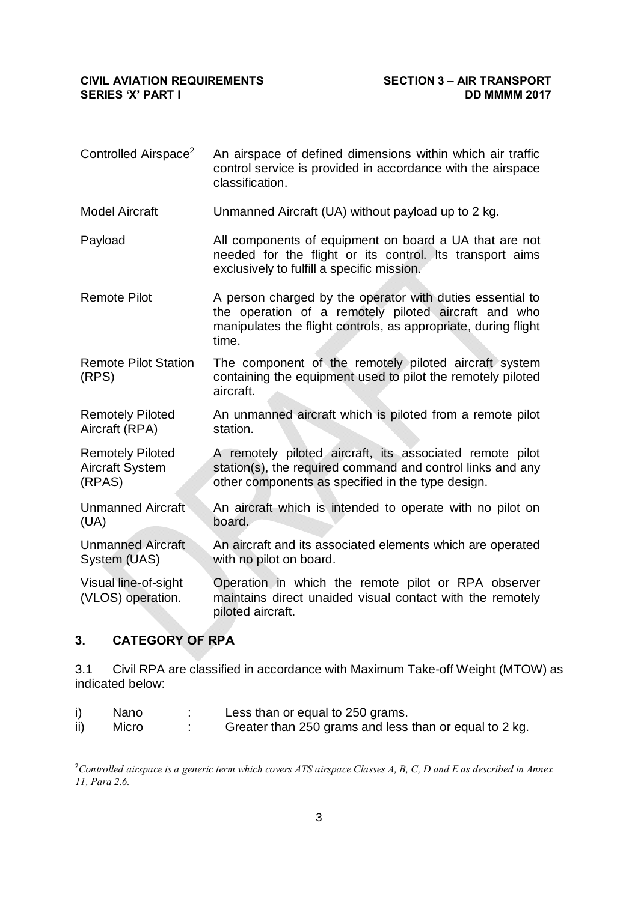Controlled Airspace<sup>2</sup> An airspace of defined dimensions within which air traffic control service is provided in accordance with the airspace classification. Model Aircraft Unmanned Aircraft (UA) without payload up to 2 kg. Payload All components of equipment on board a UA that are not needed for the flight or its control. Its transport aims exclusively to fulfill a specific mission. Remote Pilot **A** person charged by the operator with duties essential to the operation of a remotely piloted aircraft and who manipulates the flight controls, as appropriate, during flight time. Remote Pilot Station (RPS) The component of the remotely piloted aircraft system containing the equipment used to pilot the remotely piloted aircraft. Remotely Piloted Aircraft (RPA) An unmanned aircraft which is piloted from a remote pilot station. Remotely Piloted Aircraft System (RPAS) A remotely piloted aircraft, its associated remote pilot station(s), the required command and control links and any other components as specified in the type design. Unmanned Aircraft (UA) An aircraft which is intended to operate with no pilot on board. Unmanned Aircraft System (UAS) An aircraft and its associated elements which are operated with no pilot on board. Visual line-of-sight (VLOS) operation. Operation in which the remote pilot or RPA observer maintains direct unaided visual contact with the remotely piloted aircraft.

## **3. CATEGORY OF RPA**

3.1 Civil RPA are classified in accordance with Maximum Take-off Weight (MTOW) as indicated below:

- i) Nano : Less than or equal to 250 grams.
- ii) Micro : Greater than 250 grams and less than or equal to 2 kg.

 $\frac{1}{2}$ *Controlled airspace is a generic term which covers ATS airspace Classes A, B, C, D and E as described in Annex 11, Para 2.6.*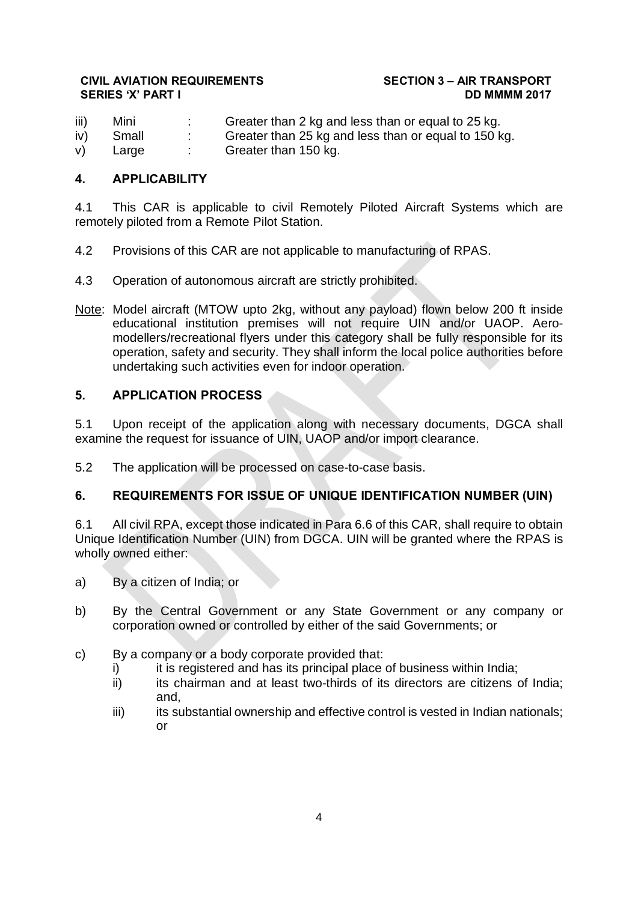iii) Mini : Greater than 2 kg and less than or equal to 25 kg. iv) Small : Greater than 25 kg and less than or equal to 150 kg. v) Large : Greater than 150 kg.

## **4. APPLICABILITY**

4.1 This CAR is applicable to civil Remotely Piloted Aircraft Systems which are remotely piloted from a Remote Pilot Station.

- 4.2 Provisions of this CAR are not applicable to manufacturing of RPAS.
- 4.3 Operation of autonomous aircraft are strictly prohibited.
- Note: Model aircraft (MTOW upto 2kg, without any payload) flown below 200 ft inside educational institution premises will not require UIN and/or UAOP. Aeromodellers/recreational flyers under this category shall be fully responsible for its operation, safety and security. They shall inform the local police authorities before undertaking such activities even for indoor operation.

## **5. APPLICATION PROCESS**

5.1 Upon receipt of the application along with necessary documents, DGCA shall examine the request for issuance of UIN, UAOP and/or import clearance.

5.2 The application will be processed on case-to-case basis.

## **6. REQUIREMENTS FOR ISSUE OF UNIQUE IDENTIFICATION NUMBER (UIN)**

6.1 All civil RPA, except those indicated in Para 6.6 of this CAR, shall require to obtain Unique Identification Number (UIN) from DGCA. UIN will be granted where the RPAS is wholly owned either:

- a) By a citizen of India; or
- b) By the Central Government or any State Government or any company or corporation owned or controlled by either of the said Governments; or
- c) By a company or a body corporate provided that:
	- i) it is registered and has its principal place of business within India;
	- ii) its chairman and at least two-thirds of its directors are citizens of India; and,
	- iii) its substantial ownership and effective control is vested in Indian nationals; or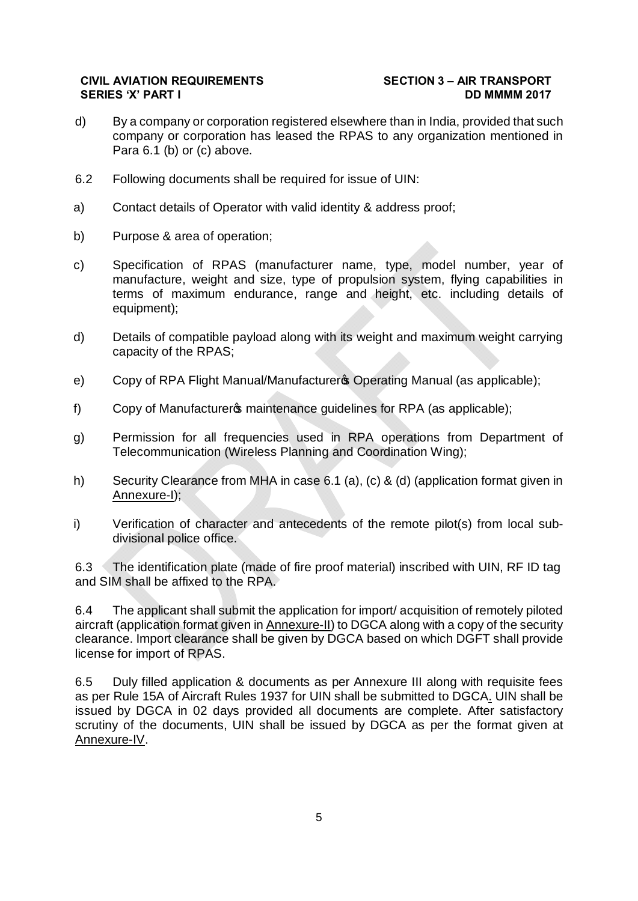- d) By a company or corporation registered elsewhere than in India, provided that such company or corporation has leased the RPAS to any organization mentioned in Para 6.1 (b) or (c) above.
- 6.2 Following documents shall be required for issue of UIN:
- a) Contact details of Operator with valid identity & address proof;
- b) Purpose & area of operation;
- c) Specification of RPAS (manufacturer name, type, model number, year of manufacture, weight and size, type of propulsion system, flying capabilities in terms of maximum endurance, range and height, etc. including details of equipment);
- d) Details of compatible payload along with its weight and maximum weight carrying capacity of the RPAS;
- e) Copy of RPA Flight Manual/Manufacturers Operating Manual (as applicable);
- f) Copy of Manufacturer open maintenance guidelines for RPA (as applicable);
- g) Permission for all frequencies used in RPA operations from Department of Telecommunication (Wireless Planning and Coordination Wing);
- h) Security Clearance from MHA in case 6.1 (a), (c) & (d) (application format given in Annexure-I);
- i) Verification of character and antecedents of the remote pilot(s) from local subdivisional police office.

6.3 The identification plate (made of fire proof material) inscribed with UIN, RF ID tag and SIM shall be affixed to the RPA.

6.4 The applicant shall submit the application for import/ acquisition of remotely piloted aircraft (application format given in Annexure-II) to DGCA along with a copy of the security clearance. Import clearance shall be given by DGCA based on which DGFT shall provide license for import of RPAS.

6.5 Duly filled application & documents as per Annexure III along with requisite fees as per Rule 15A of Aircraft Rules 1937 for UIN shall be submitted to DGCA. UIN shall be issued by DGCA in 02 days provided all documents are complete. After satisfactory scrutiny of the documents, UIN shall be issued by DGCA as per the format given at Annexure-IV.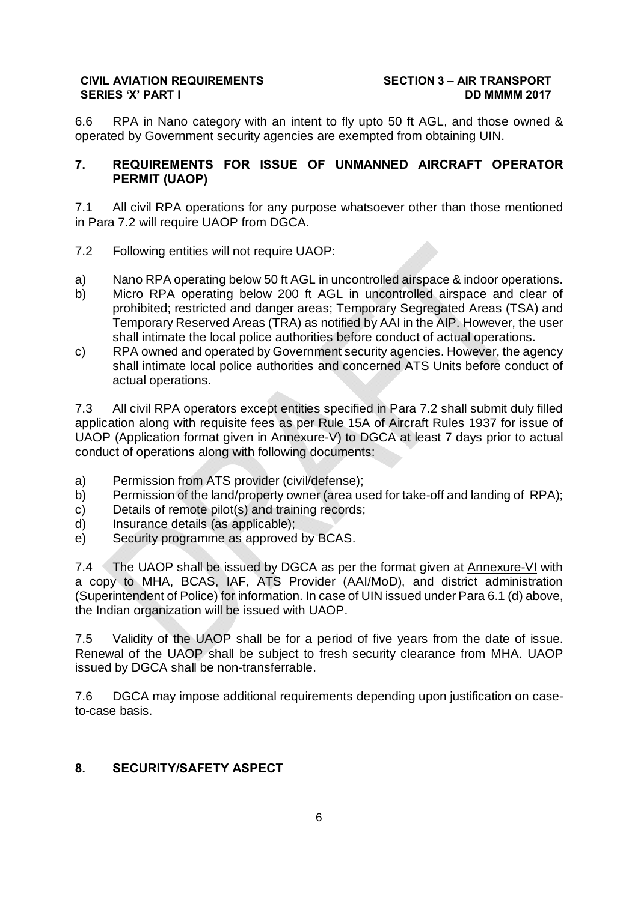6.6 RPA in Nano category with an intent to fly upto 50 ft AGL, and those owned & operated by Government security agencies are exempted from obtaining UIN.

## **7. REQUIREMENTS FOR ISSUE OF UNMANNED AIRCRAFT OPERATOR PERMIT (UAOP)**

7.1 All civil RPA operations for any purpose whatsoever other than those mentioned in Para 7.2 will require UAOP from DGCA.

- 7.2 Following entities will not require UAOP:
- a) Nano RPA operating below 50 ft AGL in uncontrolled airspace & indoor operations.
- b) Micro RPA operating below 200 ft AGL in uncontrolled airspace and clear of prohibited; restricted and danger areas; Temporary Segregated Areas (TSA) and Temporary Reserved Areas (TRA) as notified by AAI in the AIP. However, the user shall intimate the local police authorities before conduct of actual operations.
- c) RPA owned and operated by Government security agencies. However, the agency shall intimate local police authorities and concerned ATS Units before conduct of actual operations.

7.3 All civil RPA operators except entities specified in Para 7.2 shall submit duly filled application along with requisite fees as per Rule 15A of Aircraft Rules 1937 for issue of UAOP (Application format given in Annexure-V) to DGCA at least 7 days prior to actual conduct of operations along with following documents:

- a) Permission from ATS provider (civil/defense);
- b) Permission of the land/property owner (area used for take-off and landing of RPA);
- c) Details of remote pilot(s) and training records;
- d) Insurance details (as applicable);
- e) Security programme as approved by BCAS.

7.4 The UAOP shall be issued by DGCA as per the format given at Annexure-VI with a copy to MHA, BCAS, IAF, ATS Provider (AAI/MoD), and district administration (Superintendent of Police) for information. In case of UIN issued under Para 6.1 (d) above, the Indian organization will be issued with UAOP.

7.5 Validity of the UAOP shall be for a period of five years from the date of issue. Renewal of the UAOP shall be subject to fresh security clearance from MHA. UAOP issued by DGCA shall be non-transferrable.

7.6 DGCA may impose additional requirements depending upon justification on caseto-case basis.

## **8. SECURITY/SAFETY ASPECT**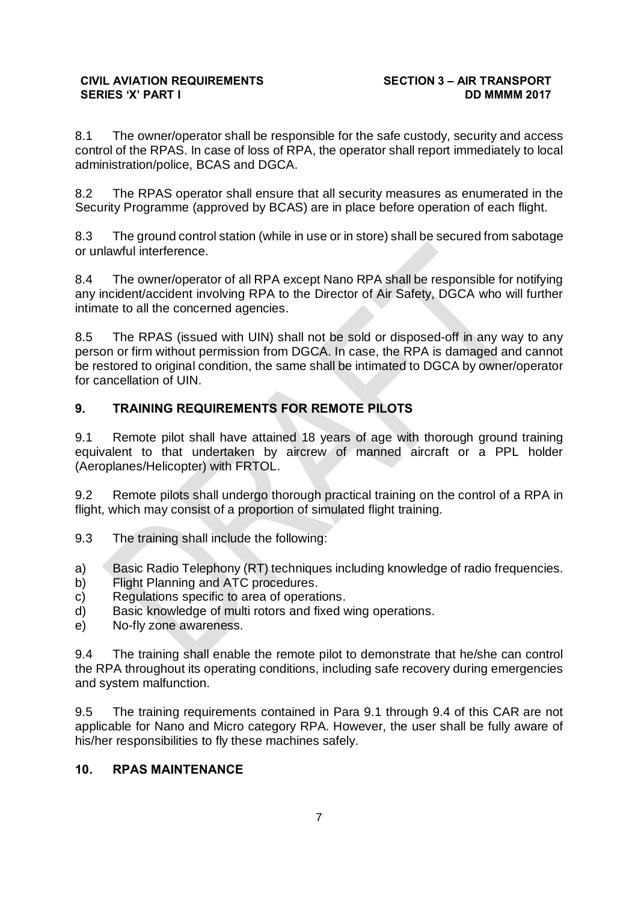8.1 The owner/operator shall be responsible for the safe custody, security and access control of the RPAS. In case of loss of RPA, the operator shall report immediately to local administration/police, BCAS and DGCA.

8.2 The RPAS operator shall ensure that all security measures as enumerated in the Security Programme (approved by BCAS) are in place before operation of each flight.

8.3 The ground control station (while in use or in store) shall be secured from sabotage or unlawful interference.

8.4 The owner/operator of all RPA except Nano RPA shall be responsible for notifying any incident/accident involving RPA to the Director of Air Safety, DGCA who will further intimate to all the concerned agencies.

8.5 The RPAS (issued with UIN) shall not be sold or disposed-off in any way to any person or firm without permission from DGCA. In case, the RPA is damaged and cannot be restored to original condition, the same shall be intimated to DGCA by owner/operator for cancellation of UIN.

# **9. TRAINING REQUIREMENTS FOR REMOTE PILOTS**

9.1 Remote pilot shall have attained 18 years of age with thorough ground training equivalent to that undertaken by aircrew of manned aircraft or a PPL holder (Aeroplanes/Helicopter) with FRTOL.

9.2 Remote pilots shall undergo thorough practical training on the control of a RPA in flight, which may consist of a proportion of simulated flight training.

- 9.3 The training shall include the following:
- a) Basic Radio Telephony (RT) techniques including knowledge of radio frequencies.
- b) Flight Planning and ATC procedures.
- c) Regulations specific to area of operations.
- d) Basic knowledge of multi rotors and fixed wing operations.
- e) No-fly zone awareness.

9.4 The training shall enable the remote pilot to demonstrate that he/she can control the RPA throughout its operating conditions, including safe recovery during emergencies and system malfunction.

9.5 The training requirements contained in Para 9.1 through 9.4 of this CAR are not applicable for Nano and Micro category RPA. However, the user shall be fully aware of his/her responsibilities to fly these machines safely.

## **10. RPAS MAINTENANCE**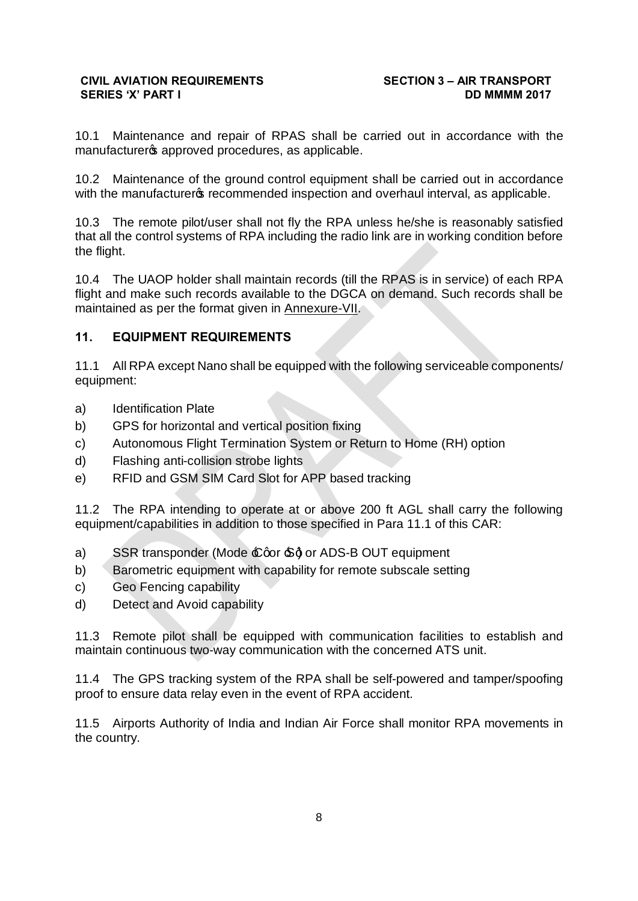10.1 Maintenance and repair of RPAS shall be carried out in accordance with the manufacturers approved procedures, as applicable.

10.2 Maintenance of the ground control equipment shall be carried out in accordance with the manufacturers recommended inspection and overhaul interval, as applicable.

10.3 The remote pilot/user shall not fly the RPA unless he/she is reasonably satisfied that all the control systems of RPA including the radio link are in working condition before the flight.

10.4 The UAOP holder shall maintain records (till the RPAS is in service) of each RPA flight and make such records available to the DGCA on demand. Such records shall be maintained as per the format given in Annexure-VII.

## **11. EQUIPMENT REQUIREMENTS**

11.1 All RPA except Nano shall be equipped with the following serviceable components/ equipment:

- a) Identification Plate
- b) GPS for horizontal and vertical position fixing
- c) Autonomous Flight Termination System or Return to Home (RH) option
- d) Flashing anti-collision strobe lights
- e) RFID and GSM SIM Card Slot for APP based tracking

11.2 The RPA intending to operate at or above 200 ft AGL shall carry the following equipment/capabilities in addition to those specified in Para 11.1 of this CAR:

- a) SSR transponder (Mode  $\pounds$  qor  $\pounds$ ) or ADS-B OUT equipment
- b) Barometric equipment with capability for remote subscale setting
- c) Geo Fencing capability
- d) Detect and Avoid capability

11.3 Remote pilot shall be equipped with communication facilities to establish and maintain continuous two-way communication with the concerned ATS unit.

11.4 The GPS tracking system of the RPA shall be self-powered and tamper/spoofing proof to ensure data relay even in the event of RPA accident.

11.5 Airports Authority of India and Indian Air Force shall monitor RPA movements in the country.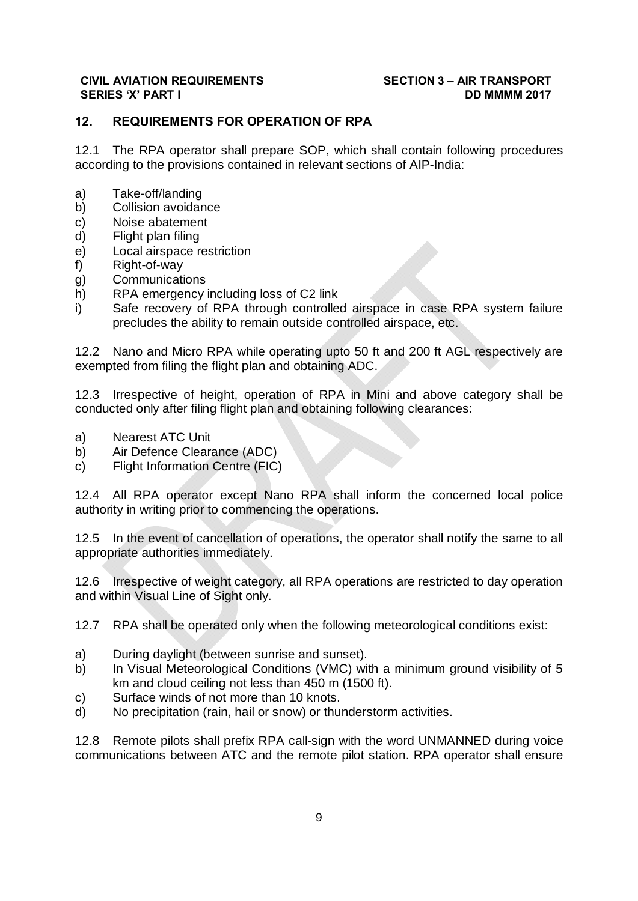## **12. REQUIREMENTS FOR OPERATION OF RPA**

12.1 The RPA operator shall prepare SOP, which shall contain following procedures according to the provisions contained in relevant sections of AIP-India:

- a) Take-off/landing
- b) Collision avoidance
- c) Noise abatement
- d) Flight plan filing
- e) Local airspace restriction
- f) Right-of-way
- g) Communications
- h) RPA emergency including loss of C2 link
- i) Safe recovery of RPA through controlled airspace in case RPA system failure precludes the ability to remain outside controlled airspace, etc.

12.2 Nano and Micro RPA while operating upto 50 ft and 200 ft AGL respectively are exempted from filing the flight plan and obtaining ADC.

12.3 Irrespective of height, operation of RPA in Mini and above category shall be conducted only after filing flight plan and obtaining following clearances:

- a) Nearest ATC Unit
- b) Air Defence Clearance (ADC)
- c) Flight Information Centre (FIC)

12.4 All RPA operator except Nano RPA shall inform the concerned local police authority in writing prior to commencing the operations.

12.5 In the event of cancellation of operations, the operator shall notify the same to all appropriate authorities immediately.

12.6 Irrespective of weight category, all RPA operations are restricted to day operation and within Visual Line of Sight only.

12.7 RPA shall be operated only when the following meteorological conditions exist:

- a) During daylight (between sunrise and sunset).
- b) In Visual Meteorological Conditions (VMC) with a minimum ground visibility of 5 km and cloud ceiling not less than 450 m (1500 ft).
- c) Surface winds of not more than 10 knots.
- d) No precipitation (rain, hail or snow) or thunderstorm activities.

12.8 Remote pilots shall prefix RPA call-sign with the word UNMANNED during voice communications between ATC and the remote pilot station. RPA operator shall ensure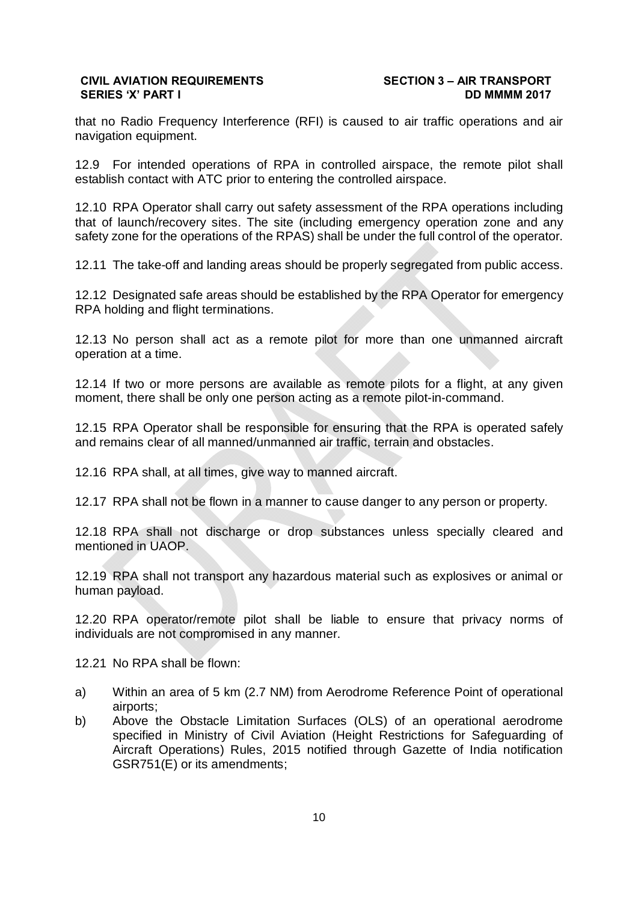that no Radio Frequency Interference (RFI) is caused to air traffic operations and air navigation equipment.

12.9 For intended operations of RPA in controlled airspace, the remote pilot shall establish contact with ATC prior to entering the controlled airspace.

12.10 RPA Operator shall carry out safety assessment of the RPA operations including that of launch/recovery sites. The site (including emergency operation zone and any safety zone for the operations of the RPAS) shall be under the full control of the operator.

12.11 The take-off and landing areas should be properly segregated from public access.

12.12 Designated safe areas should be established by the RPA Operator for emergency RPA holding and flight terminations.

12.13 No person shall act as a remote pilot for more than one unmanned aircraft operation at a time.

12.14 If two or more persons are available as remote pilots for a flight, at any given moment, there shall be only one person acting as a remote pilot-in-command.

12.15 RPA Operator shall be responsible for ensuring that the RPA is operated safely and remains clear of all manned/unmanned air traffic, terrain and obstacles.

12.16 RPA shall, at all times, give way to manned aircraft.

12.17 RPA shall not be flown in a manner to cause danger to any person or property.

12.18 RPA shall not discharge or drop substances unless specially cleared and mentioned in UAOP.

12.19 RPA shall not transport any hazardous material such as explosives or animal or human payload.

12.20 RPA operator/remote pilot shall be liable to ensure that privacy norms of individuals are not compromised in any manner.

12.21 No RPA shall be flown:

- a) Within an area of 5 km (2.7 NM) from Aerodrome Reference Point of operational airports;
- b) Above the Obstacle Limitation Surfaces (OLS) of an operational aerodrome specified in Ministry of Civil Aviation (Height Restrictions for Safeguarding of Aircraft Operations) Rules, 2015 notified through Gazette of India notification GSR751(E) or its amendments;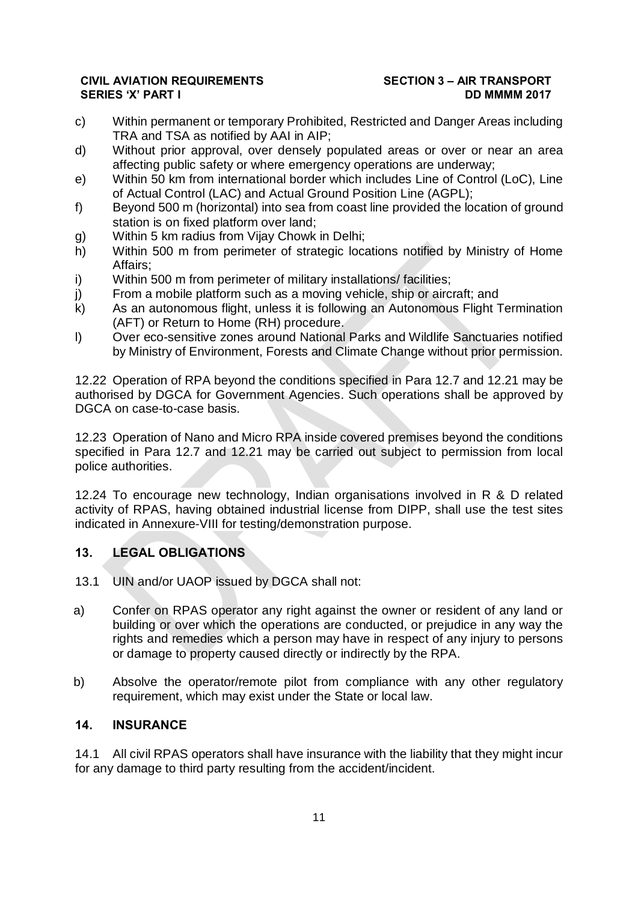- c) Within permanent or temporary Prohibited, Restricted and Danger Areas including TRA and TSA as notified by AAI in AIP;
- d) Without prior approval, over densely populated areas or over or near an area affecting public safety or where emergency operations are underway;
- e) Within 50 km from international border which includes Line of Control (LoC), Line of Actual Control (LAC) and Actual Ground Position Line (AGPL);
- f) Beyond 500 m (horizontal) into sea from coast line provided the location of ground station is on fixed platform over land;
- g) Within 5 km radius from Vijay Chowk in Delhi;
- h) Within 500 m from perimeter of strategic locations notified by Ministry of Home Affairs;
- i) Within 500 m from perimeter of military installations/facilities;
- j) From a mobile platform such as a moving vehicle, ship or aircraft; and
- k) As an autonomous flight, unless it is following an Autonomous Flight Termination (AFT) or Return to Home (RH) procedure.
- l) Over eco-sensitive zones around National Parks and Wildlife Sanctuaries notified by Ministry of Environment, Forests and Climate Change without prior permission.

12.22 Operation of RPA beyond the conditions specified in Para 12.7 and 12.21 may be authorised by DGCA for Government Agencies. Such operations shall be approved by DGCA on case-to-case basis.

12.23 Operation of Nano and Micro RPA inside covered premises beyond the conditions specified in Para 12.7 and 12.21 may be carried out subject to permission from local police authorities.

12.24 To encourage new technology, Indian organisations involved in R & D related activity of RPAS, having obtained industrial license from DIPP, shall use the test sites indicated in Annexure-VIII for testing/demonstration purpose.

## **13. LEGAL OBLIGATIONS**

- 13.1 UIN and/or UAOP issued by DGCA shall not:
- a) Confer on RPAS operator any right against the owner or resident of any land or building or over which the operations are conducted, or prejudice in any way the rights and remedies which a person may have in respect of any injury to persons or damage to property caused directly or indirectly by the RPA.
- b) Absolve the operator/remote pilot from compliance with any other regulatory requirement, which may exist under the State or local law.

## **14. INSURANCE**

14.1 All civil RPAS operators shall have insurance with the liability that they might incur for any damage to third party resulting from the accident/incident.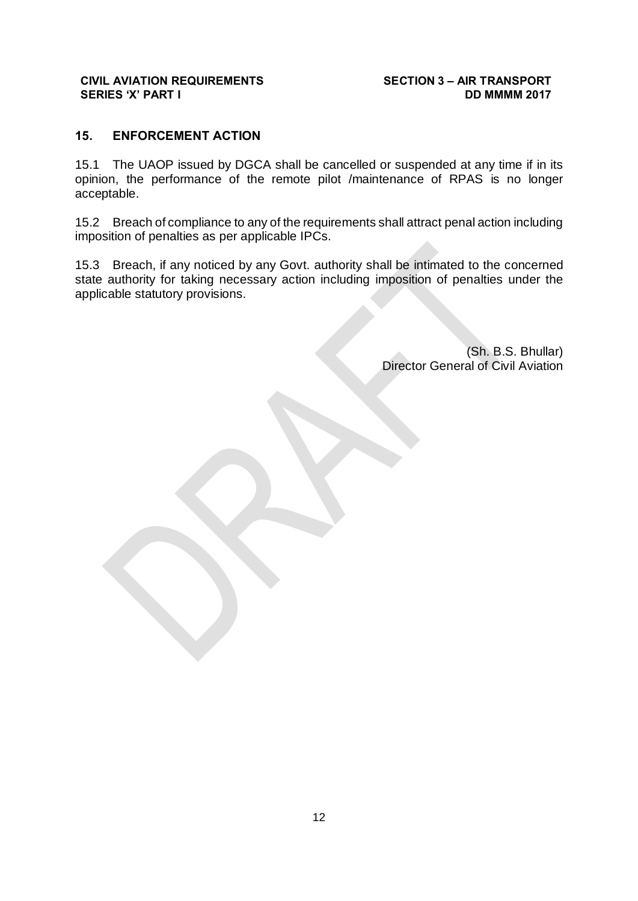## **15. ENFORCEMENT ACTION**

15.1 The UAOP issued by DGCA shall be cancelled or suspended at any time if in its opinion, the performance of the remote pilot /maintenance of RPAS is no longer acceptable.

15.2 Breach of compliance to any of the requirements shall attract penal action including imposition of penalties as per applicable IPCs.

15.3 Breach, if any noticed by any Govt. authority shall be intimated to the concerned state authority for taking necessary action including imposition of penalties under the applicable statutory provisions.

> (Sh. B.S. Bhullar) Director General of Civil Aviation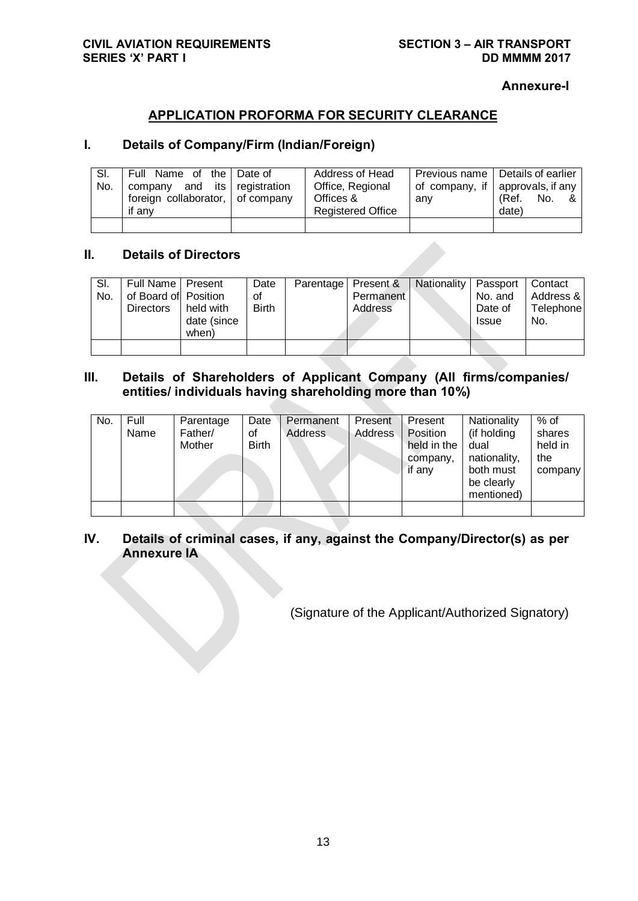**Annexure-I**

## **APPLICATION PROFORMA FOR SECURITY CLEARANCE**

## **I. Details of Company/Firm (Indian/Foreign)**

| SI.<br>No. | Full Name of the Date of<br>company and its registration<br>foreign collaborator, of company<br>if anv | Address of Head<br>Office, Regional<br>Offices &<br><b>Registered Office</b> | anv | Previous name   Details of earlier<br>of company, if approvals, if any<br>(Ref. No.<br>&<br>date) |
|------------|--------------------------------------------------------------------------------------------------------|------------------------------------------------------------------------------|-----|---------------------------------------------------------------------------------------------------|
|            |                                                                                                        |                                                                              |     |                                                                                                   |

## **II. Details of Directors**

| SI.<br>No. | Full Name   Present<br>of Board of Position<br><b>Directors</b> | held with<br>date (since<br>when) | Date<br>οf<br><b>Birth</b> | Parentage   Present &<br>Permanent<br>Address | <b>Nationality</b> | Passport<br>No. and<br>Date of<br><b>Issue</b> | Contact<br>Address &<br>Telephone<br>No. |
|------------|-----------------------------------------------------------------|-----------------------------------|----------------------------|-----------------------------------------------|--------------------|------------------------------------------------|------------------------------------------|
|            |                                                                 |                                   |                            |                                               |                    |                                                |                                          |

## **III. Details of Shareholders of Applicant Company (All firms/companies/ entities/ individuals having shareholding more than 10%)**

| No. | Full<br>Name | Parentage<br>Father/<br>Mother | Date<br>Οf<br>Birth | Permanent<br><b>Address</b> | Present<br>Address | Present<br>Position<br>held in the<br>company,<br>if any | Nationality<br>(if holding<br>dual<br>nationality,<br>both must<br>be clearly<br>mentioned) | $%$ of<br>shares<br>held in<br>the<br>company |
|-----|--------------|--------------------------------|---------------------|-----------------------------|--------------------|----------------------------------------------------------|---------------------------------------------------------------------------------------------|-----------------------------------------------|
|     |              |                                |                     |                             |                    |                                                          |                                                                                             |                                               |

## **IV. Details of criminal cases, if any, against the Company/Director(s) as per Annexure IA**

(Signature of the Applicant/Authorized Signatory)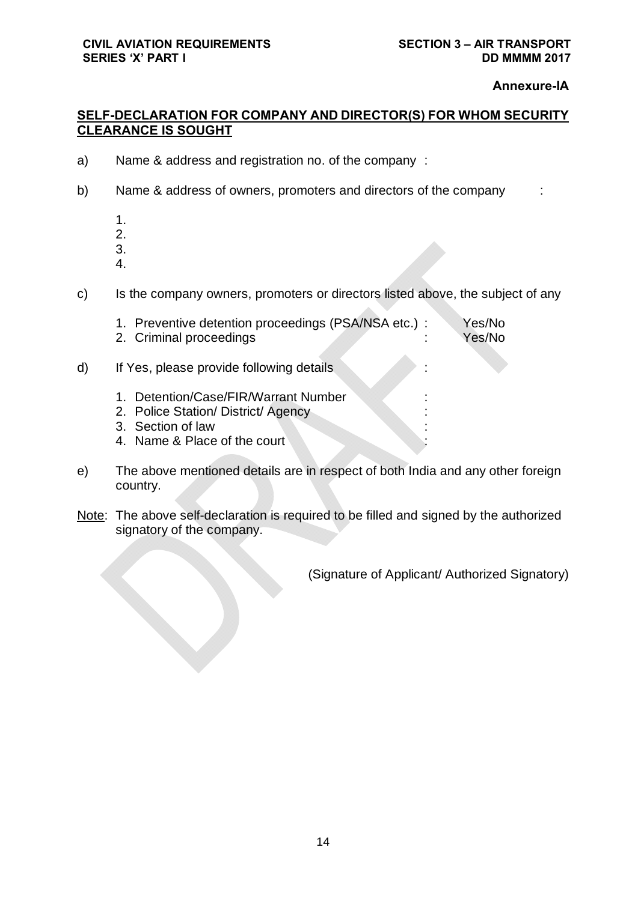### **Annexure-IA**

## **SELF-DECLARATION FOR COMPANY AND DIRECTOR(S) FOR WHOM SECURITY CLEARANCE IS SOUGHT**

- a) Name & address and registration no. of the company :
- b) Name & address of owners, promoters and directors of the company :
	- 1.
	- 2.
	- 3.
	- 4.
- c) Is the company owners, promoters or directors listed above, the subject of any

|    | 1. Preventive detention proceedings (PSA/NSA etc.) :<br>2. Criminal proceedings                                                        |        | Yes/No<br>Yes/No |
|----|----------------------------------------------------------------------------------------------------------------------------------------|--------|------------------|
| d) | If Yes, please provide following details                                                                                               |        |                  |
|    | Detention/Case/FIR/Warrant Number<br>$1_{-}$<br>2. Police Station/District/Agency<br>3. Section of law<br>4. Name & Place of the court | ٠<br>٠ |                  |
|    |                                                                                                                                        |        |                  |

- e) The above mentioned details are in respect of both India and any other foreign country.
- Note: The above self-declaration is required to be filled and signed by the authorized signatory of the company.

(Signature of Applicant/ Authorized Signatory)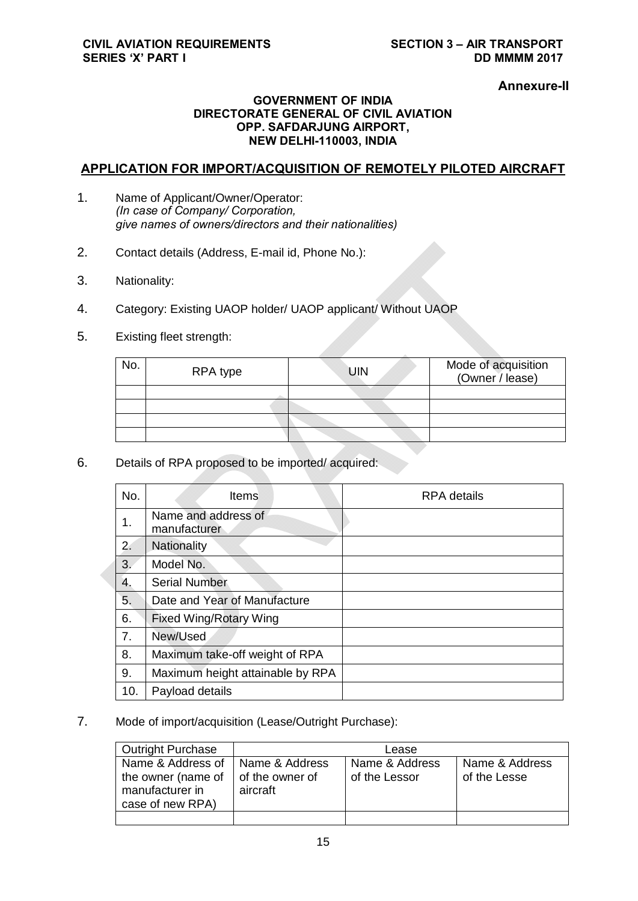**Annexure-II**

### **GOVERNMENT OF INDIA DIRECTORATE GENERAL OF CIVIL AVIATION OPP. SAFDARJUNG AIRPORT, NEW DELHI-110003, INDIA**

## **APPLICATION FOR IMPORT/ACQUISITION OF REMOTELY PILOTED AIRCRAFT**

- 1. Name of Applicant/Owner/Operator: *(In case of Company/ Corporation, give names of owners/directors and their nationalities)*
- 2. Contact details (Address, E-mail id, Phone No.):
- 3. Nationality:
- 4. Category: Existing UAOP holder/ UAOP applicant/ Without UAOP
- 5. Existing fleet strength:

| No. | RPA type | <b>UIN</b> | Mode of acquisition<br>(Owner / lease) |
|-----|----------|------------|----------------------------------------|
|     |          |            |                                        |
|     |          |            |                                        |
|     |          |            |                                        |
|     |          |            |                                        |

6. Details of RPA proposed to be imported/ acquired:

| No. | <b>Items</b>                        | <b>RPA</b> details |
|-----|-------------------------------------|--------------------|
| 1.  | Name and address of<br>manufacturer |                    |
| 2.  | Nationality                         |                    |
| 3.  | Model No.                           |                    |
| 4.  | <b>Serial Number</b>                |                    |
| 5.  | Date and Year of Manufacture        |                    |
| 6.  | <b>Fixed Wing/Rotary Wing</b>       |                    |
| 7.  | New/Used                            |                    |
| 8.  | Maximum take-off weight of RPA      |                    |
| 9.  | Maximum height attainable by RPA    |                    |
| 10. | Payload details                     |                    |

7. Mode of import/acquisition (Lease/Outright Purchase):

| <b>Outright Purchase</b>                                                       |                                               | Lease                           |                                |
|--------------------------------------------------------------------------------|-----------------------------------------------|---------------------------------|--------------------------------|
| Name & Address of<br>the owner (name of<br>manufacturer in<br>case of new RPA) | Name & Address<br>of the owner of<br>aircraft | Name & Address<br>of the Lessor | Name & Address<br>of the Lesse |
|                                                                                |                                               |                                 |                                |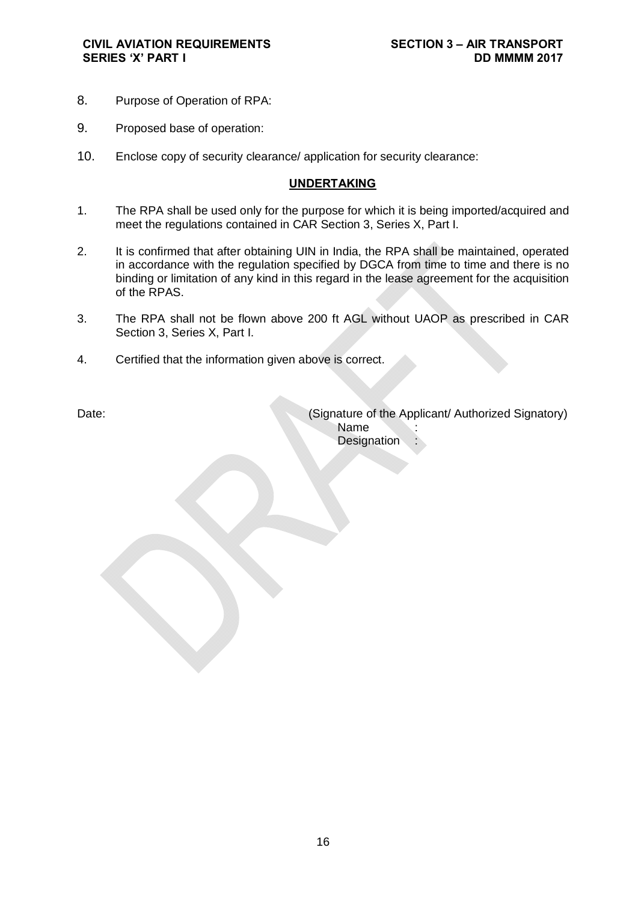- 8. Purpose of Operation of RPA:
- 9. Proposed base of operation:
- 10. Enclose copy of security clearance/ application for security clearance:

#### **UNDERTAKING**

- 1. The RPA shall be used only for the purpose for which it is being imported/acquired and meet the regulations contained in CAR Section 3, Series X, Part I.
- 2. It is confirmed that after obtaining UIN in India, the RPA shall be maintained, operated in accordance with the regulation specified by DGCA from time to time and there is no binding or limitation of any kind in this regard in the lease agreement for the acquisition of the RPAS.
- 3. The RPA shall not be flown above 200 ft AGL without UAOP as prescribed in CAR Section 3, Series X, Part I.
- 4. Certified that the information given above is correct.

Date: Charles Communication (Signature of the Applicant/ Authorized Signatory) **Name Designation**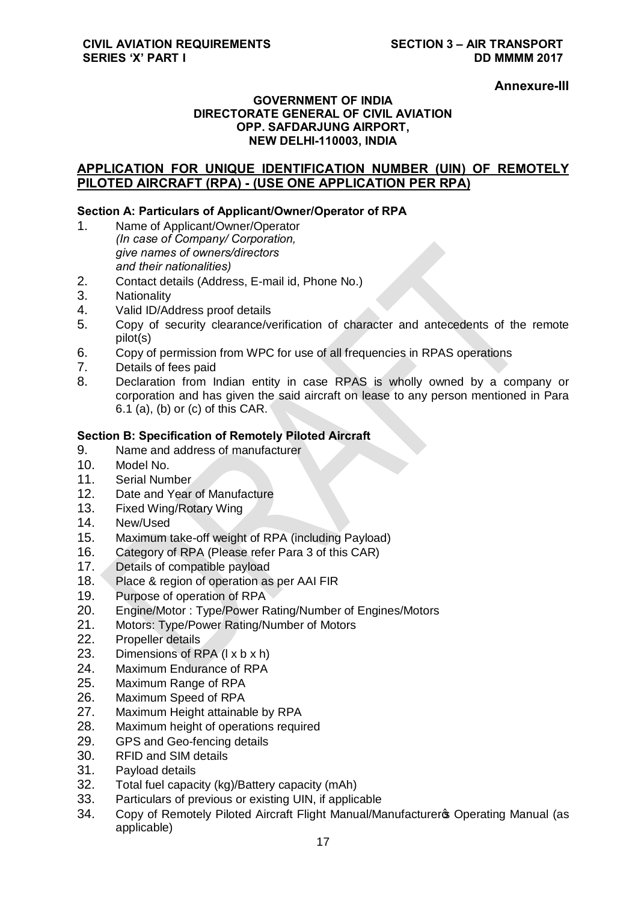### **Annexure-III**

### **GOVERNMENT OF INDIA DIRECTORATE GENERAL OF CIVIL AVIATION OPP. SAFDARJUNG AIRPORT, NEW DELHI-110003, INDIA**

## **APPLICATION FOR UNIQUE IDENTIFICATION NUMBER (UIN) OF REMOTELY PILOTED AIRCRAFT (RPA) - (USE ONE APPLICATION PER RPA)**

### **Section A: Particulars of Applicant/Owner/Operator of RPA**

- 1. Name of Applicant/Owner/Operator *(In case of Company/ Corporation, give names of owners/directors and their nationalities)*
- 2. Contact details (Address, E-mail id, Phone No.)
- 3. Nationality
- 4. Valid ID/Address proof details
- 5. Copy of security clearance/verification of character and antecedents of the remote pilot(s)
- 6. Copy of permission from WPC for use of all frequencies in RPAS operations
- 7. Details of fees paid
- 8. Declaration from Indian entity in case RPAS is wholly owned by a company or corporation and has given the said aircraft on lease to any person mentioned in Para 6.1 (a), (b) or (c) of this CAR.

## **Section B: Specification of Remotely Piloted Aircraft**

- 9. Name and address of manufacturer
- 10. Model No.
- 11. Serial Number
- 12. Date and Year of Manufacture
- 13. Fixed Wing/Rotary Wing
- 14. New/Used
- 15. Maximum take-off weight of RPA (including Payload)
- 16. Category of RPA (Please refer Para 3 of this CAR)
- 17. Details of compatible payload
- 18. Place & region of operation as per AAI FIR
- 19. Purpose of operation of RPA
- 20. Engine/Motor : Type/Power Rating/Number of Engines/Motors
- 21. Motors: Type/Power Rating/Number of Motors
- 22. Propeller details
- 23. Dimensions of RPA (l x b x h)
- 24. Maximum Endurance of RPA
- 25. Maximum Range of RPA
- 26. Maximum Speed of RPA
- 27. Maximum Height attainable by RPA
- 28. Maximum height of operations required
- 29. GPS and Geo-fencing details
- 30. RFID and SIM details
- 31. Payload details
- 32. Total fuel capacity (kg)/Battery capacity (mAh)
- 33. Particulars of previous or existing UIN, if applicable
- 34. Copy of Remotely Piloted Aircraft Flight Manual/Manufacturer & Operating Manual (as applicable)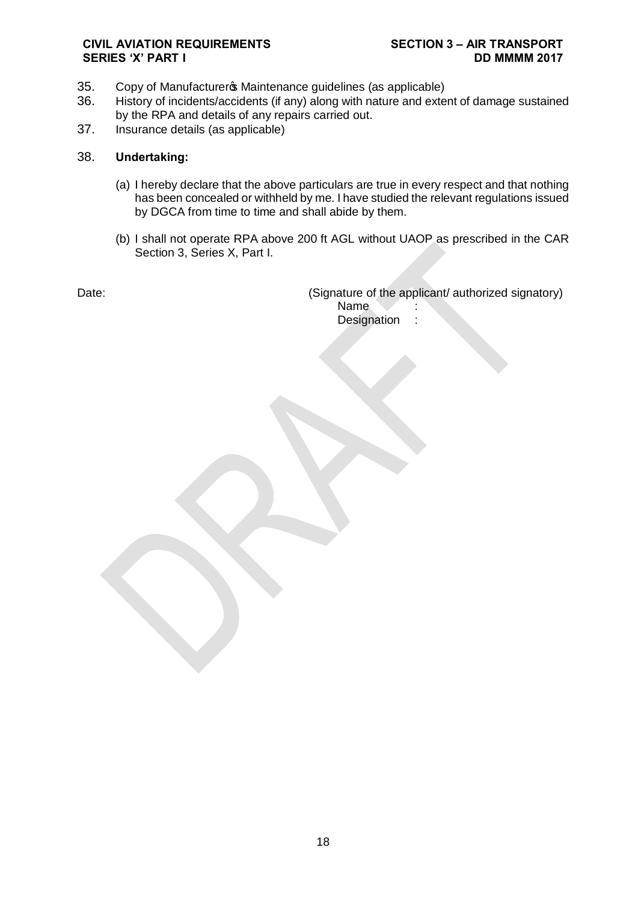- 35. Copy of Manufacturer & Maintenance guidelines (as applicable)
- 36. History of incidents/accidents (if any) along with nature and extent of damage sustained by the RPA and details of any repairs carried out.
- 37. Insurance details (as applicable)

#### 38. **Undertaking:**

- (a) I hereby declare that the above particulars are true in every respect and that nothing has been concealed or withheld by me. I have studied the relevant regulations issued by DGCA from time to time and shall abide by them.
- (b) I shall not operate RPA above 200 ft AGL without UAOP as prescribed in the CAR Section 3, Series X, Part I.

Date: Date: Conserversity and the applicant of the applicant authorized signatory) Name. Designation :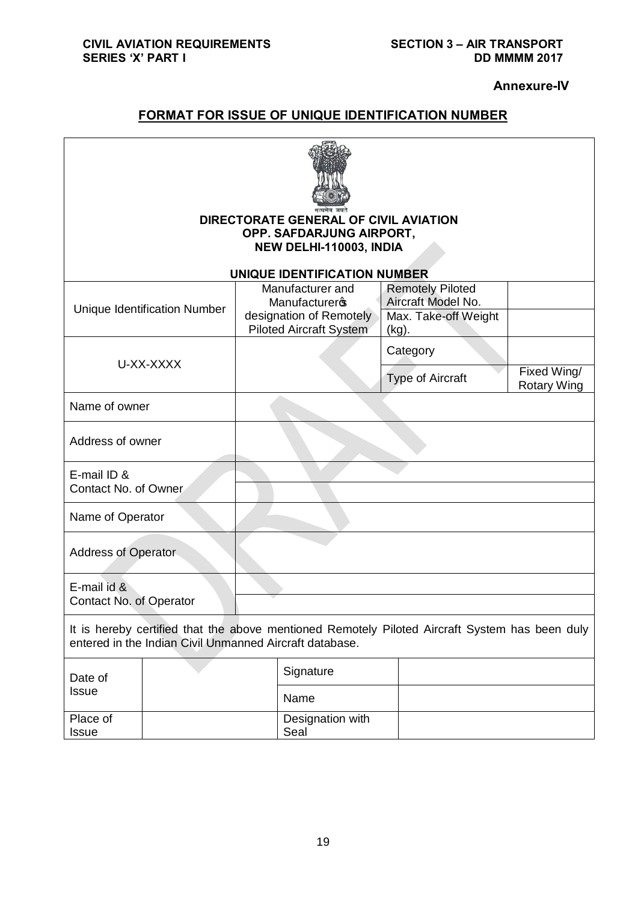**Annexure-IV**

# **FORMAT FOR ISSUE OF UNIQUE IDENTIFICATION NUMBER**

| DIRECTORATE GENERAL OF CIVIL AVIATION<br>OPP. SAFDARJUNG AIRPORT,<br>NEW DELHI-110003, INDIA                                                              |                              |                                                                                                       |                                                                                   |                                   |
|-----------------------------------------------------------------------------------------------------------------------------------------------------------|------------------------------|-------------------------------------------------------------------------------------------------------|-----------------------------------------------------------------------------------|-----------------------------------|
|                                                                                                                                                           |                              | UNIQUE IDENTIFICATION NUMBER                                                                          |                                                                                   |                                   |
|                                                                                                                                                           | Unique Identification Number | Manufacturer and<br><b>Manufacturers</b><br>designation of Remotely<br><b>Piloted Aircraft System</b> | <b>Remotely Piloted</b><br>Aircraft Model No.<br>Max. Take-off Weight<br>$(kg)$ . |                                   |
|                                                                                                                                                           |                              |                                                                                                       | Category                                                                          |                                   |
| U-XX-XXXX                                                                                                                                                 |                              |                                                                                                       | <b>Type of Aircraft</b>                                                           | Fixed Wing/<br><b>Rotary Wing</b> |
| Name of owner                                                                                                                                             |                              |                                                                                                       |                                                                                   |                                   |
| Address of owner                                                                                                                                          |                              |                                                                                                       |                                                                                   |                                   |
| E-mail ID &<br>Contact No. of Owner                                                                                                                       |                              |                                                                                                       |                                                                                   |                                   |
| Name of Operator                                                                                                                                          |                              |                                                                                                       |                                                                                   |                                   |
| <b>Address of Operator</b>                                                                                                                                |                              |                                                                                                       |                                                                                   |                                   |
| E-mail id &<br>Contact No. of Operator                                                                                                                    |                              |                                                                                                       |                                                                                   |                                   |
| It is hereby certified that the above mentioned Remotely Piloted Aircraft System has been duly<br>entered in the Indian Civil Unmanned Aircraft database. |                              |                                                                                                       |                                                                                   |                                   |
| Date of                                                                                                                                                   |                              | Signature                                                                                             |                                                                                   |                                   |
| <b>Issue</b>                                                                                                                                              |                              | Name                                                                                                  |                                                                                   |                                   |
| Place of<br><b>Issue</b>                                                                                                                                  |                              | Designation with<br>Seal                                                                              |                                                                                   |                                   |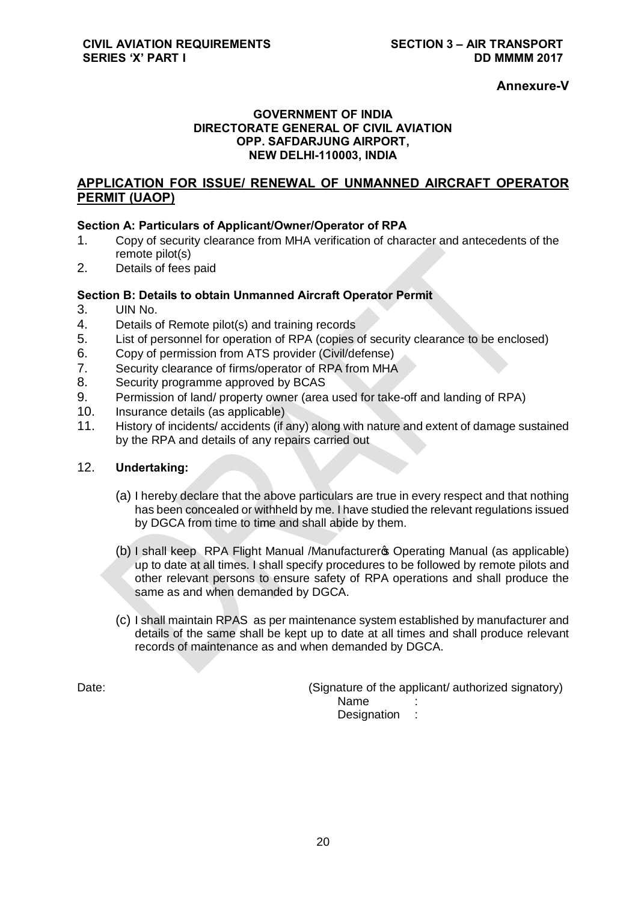## **Annexure-V**

### **GOVERNMENT OF INDIA DIRECTORATE GENERAL OF CIVIL AVIATION OPP. SAFDARJUNG AIRPORT, NEW DELHI-110003, INDIA**

## **APPLICATION FOR ISSUE/ RENEWAL OF UNMANNED AIRCRAFT OPERATOR PERMIT (UAOP)**

## **Section A: Particulars of Applicant/Owner/Operator of RPA**

- 1. Copy of security clearance from MHA verification of character and antecedents of the remote pilot(s)
- 2. Details of fees paid

## **Section B: Details to obtain Unmanned Aircraft Operator Permit**

- 3. UIN No.
- 4. Details of Remote pilot(s) and training records
- 5. List of personnel for operation of RPA (copies of security clearance to be enclosed)
- 6. Copy of permission from ATS provider (Civil/defense)
- 7. Security clearance of firms/operator of RPA from MHA
- 8. Security programme approved by BCAS
- 9. Permission of land/ property owner (area used for take-off and landing of RPA)
- 10. Insurance details (as applicable)
- 11. History of incidents/ accidents (if any) along with nature and extent of damage sustained by the RPA and details of any repairs carried out

### 12. **Undertaking:**

- (a) I hereby declare that the above particulars are true in every respect and that nothing has been concealed or withheld by me. I have studied the relevant regulations issued by DGCA from time to time and shall abide by them.
- (b) I shall keep RPA Flight Manual /Manufacturer to Operating Manual (as applicable) up to date at all times. I shall specify procedures to be followed by remote pilots and other relevant persons to ensure safety of RPA operations and shall produce the same as and when demanded by DGCA.
- (c) I shall maintain RPAS as per maintenance system established by manufacturer and details of the same shall be kept up to date at all times and shall produce relevant records of maintenance as and when demanded by DGCA.

Date: (Signature of the applicant/ authorized signatory) Name Designation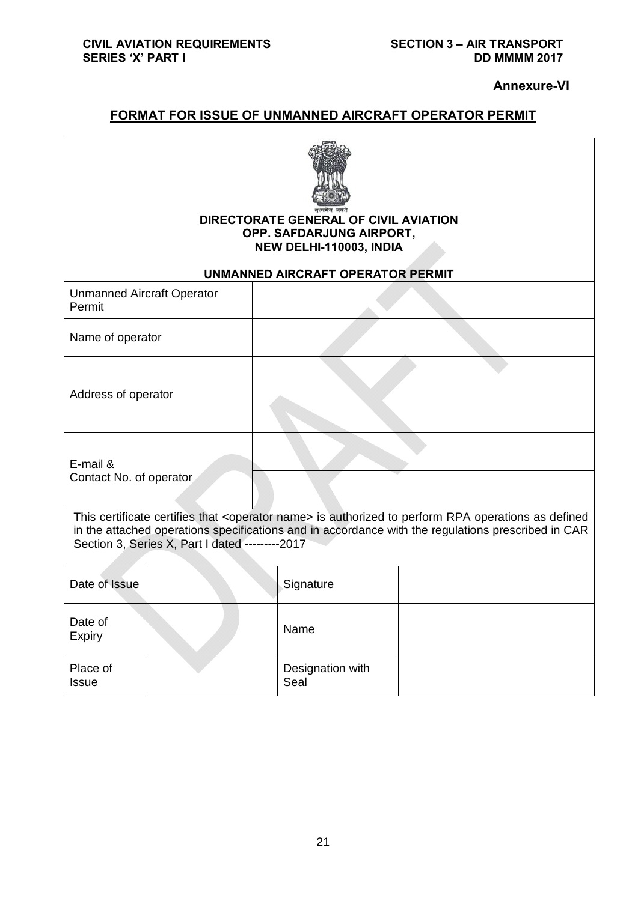**Annexure-VI**

# **FORMAT FOR ISSUE OF UNMANNED AIRCRAFT OPERATOR PERMIT**

| DIRECTORATE GENERAL OF CIVIL AVIATION<br>OPP. SAFDARJUNG AIRPORT,<br>NEW DELHI-110003, INDIA                                                                                                                                                                                |  |  |                                   |  |
|-----------------------------------------------------------------------------------------------------------------------------------------------------------------------------------------------------------------------------------------------------------------------------|--|--|-----------------------------------|--|
| <b>Unmanned Aircraft Operator</b>                                                                                                                                                                                                                                           |  |  | UNMANNED AIRCRAFT OPERATOR PERMIT |  |
| Permit                                                                                                                                                                                                                                                                      |  |  |                                   |  |
| Name of operator                                                                                                                                                                                                                                                            |  |  |                                   |  |
| Address of operator                                                                                                                                                                                                                                                         |  |  |                                   |  |
| E-mail &<br>Contact No. of operator                                                                                                                                                                                                                                         |  |  |                                   |  |
| This certificate certifies that <operator name=""> is authorized to perform RPA operations as defined<br/>in the attached operations specifications and in accordance with the regulations prescribed in CAR<br/>Section 3, Series X, Part I dated ---------2017</operator> |  |  |                                   |  |
| Date of Issue                                                                                                                                                                                                                                                               |  |  | Signature                         |  |
| Date of<br>Expiry                                                                                                                                                                                                                                                           |  |  | Name                              |  |
| Place of<br><b>Issue</b>                                                                                                                                                                                                                                                    |  |  | Designation with<br>Seal          |  |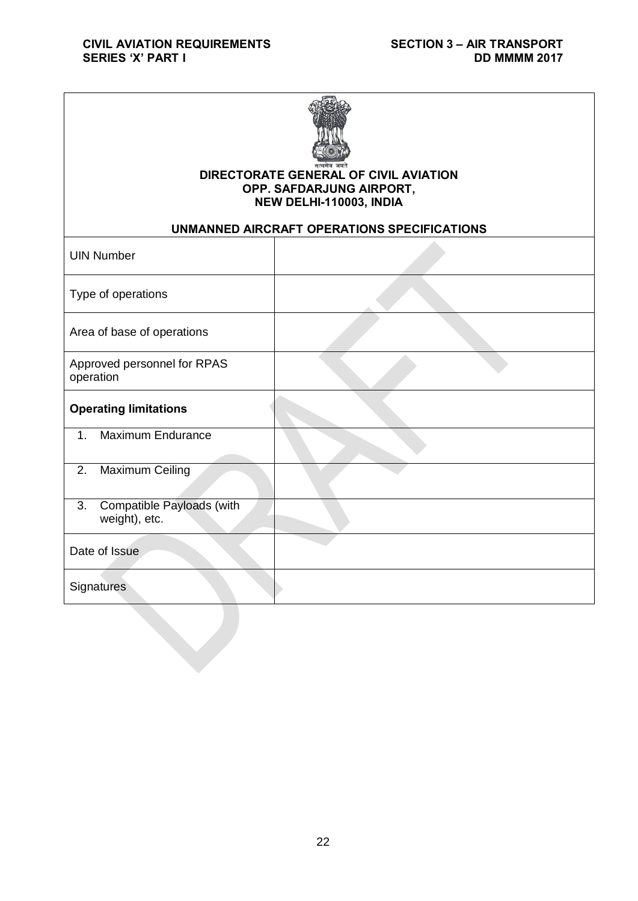

## **DIRECTORATE GENERAL OF CIVIL AVIATION OPP. SAFDARJUNG AIRPORT, NEW DELHI-110003, INDIA**

## **UNMANNED AIRCRAFT OPERATIONS SPECIFICATIONS**

| <b>UIN Number</b>                                       |  |
|---------------------------------------------------------|--|
| Type of operations                                      |  |
| Area of base of operations                              |  |
| Approved personnel for RPAS<br>operation                |  |
| <b>Operating limitations</b>                            |  |
| <b>Maximum Endurance</b><br>1.                          |  |
| Maximum Ceiling<br>2.                                   |  |
| 3.<br><b>Compatible Payloads (with</b><br>weight), etc. |  |
| Date of Issue                                           |  |
| <b>Signatures</b>                                       |  |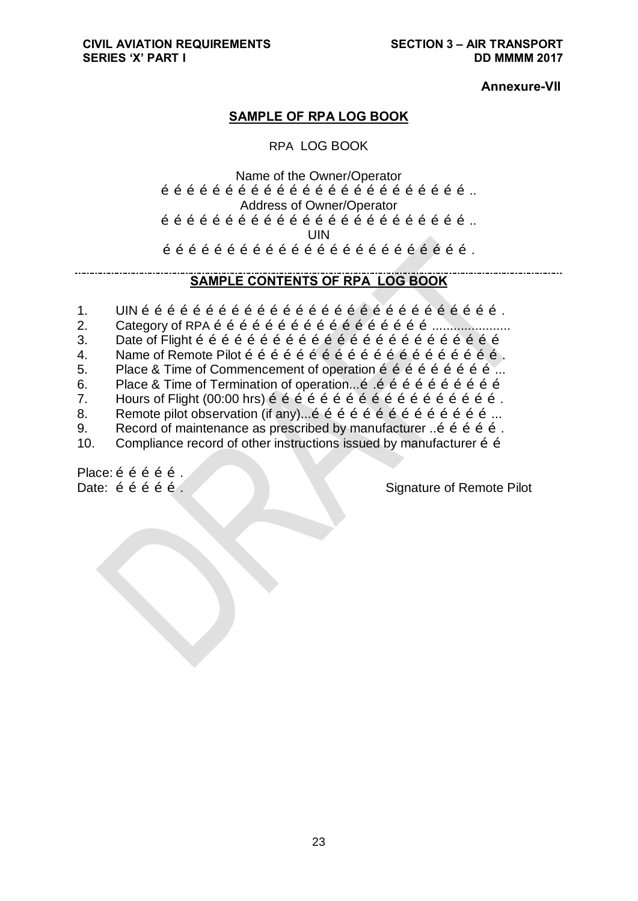**Annexure-VII**

## **SAMPLE OF RPA LOG BOOK**

## RPA LOG BOOK

Name of the Owner/Operator  $\tilde{O}$   $\tilde{O}$   $\tilde{O}$   $\tilde{O}$   $\tilde{O}$   $\tilde{O}$   $\tilde{O}$   $\tilde{O}$   $\tilde{O}$   $\tilde{O}$   $\tilde{O}$   $\tilde{O}$   $\tilde{O}$   $\tilde{O}$   $\tilde{O}$   $\tilde{O}$   $\tilde{O}$   $\tilde{O}$   $\tilde{O}$   $\tilde{O}$   $\tilde{O}$   $\tilde{O}$   $\tilde{O}$   $\tilde{O}$   $\tilde{$ Address of Owner/Operator  $\tilde{O}$   $\tilde{O}$   $\tilde{O}$   $\tilde{O}$   $\tilde{O}$   $\tilde{O}$   $\tilde{O}$   $\tilde{O}$   $\tilde{O}$   $\tilde{O}$   $\tilde{O}$   $\tilde{O}$   $\tilde{O}$   $\tilde{O}$   $\tilde{O}$   $\tilde{O}$   $\tilde{O}$   $\tilde{O}$   $\tilde{O}$   $\tilde{O}$   $\tilde{O}$   $\tilde{O}$   $\tilde{O}$   $\tilde{O}$   $\tilde{$ UIN  $\tilde{O}$   $\tilde{O}$   $\tilde{O}$   $\tilde{O}$   $\tilde{O}$   $\tilde{O}$   $\tilde{O}$   $\tilde{O}$   $\tilde{O}$   $\tilde{O}$   $\tilde{O}$   $\tilde{O}$   $\tilde{O}$   $\tilde{O}$   $\tilde{O}$   $\tilde{O}$   $\tilde{O}$   $\tilde{O}$   $\tilde{O}$   $\tilde{O}$   $\tilde{O}$   $\tilde{O}$   $\tilde{O}$   $\tilde{O}$   $\tilde{$ 

## **SAMPLE CONTENTS OF RPA LOG BOOK**

- $1.$  UIN  $\tilde{0}$   $\tilde{0}$   $\tilde{0}$   $\tilde{0}$   $\tilde{0}$   $\tilde{0}$   $\tilde{0}$   $\tilde{0}$   $\tilde{0}$   $\tilde{0}$   $\tilde{0}$   $\tilde{0}$   $\tilde{0}$   $\tilde{0}$   $\tilde{0}$   $\tilde{0}$   $\tilde{0}$   $\tilde{0}$   $\tilde{0}$   $\tilde{0}$   $\tilde{0}$   $\tilde{0}$   $\tilde{0}$   $\tilde{$
- 2. Category of RPA ……………………………………………......................
- 3. Date of Flight ………………………………………………………………
- 4. Name of Remote Pilot …………………………………………………….
- 5. Place & Time of Commencement of operation  $\tilde{0}$   $\tilde{0}$   $\tilde{0}$   $\tilde{0}$   $\tilde{0}$   $\tilde{0}$   $\tilde{0}$   $\ldots$
- 6. Place & Time of Termination of operation...….…………………………
- 7. Hours of Flight (00:00 hrs) ……………………………………………….
- 8. Remote pilot observation (if any)...……………………………………...
- 9. Record of maintenance as prescribed by manufacturer ...  $\tilde{\sigma}$   $\tilde{\sigma}$   $\tilde{\sigma}$  o  $\tilde{\sigma}$ .
- 10. Compliance record of other instructions issued by manufacturer  $\tilde{o}$  o

Place: õ õ õ õ õ .

Date:  $\ddot{o}$   $\ddot{o}$   $\ddot{o}$   $\ddot{o}$   $\ddot{o}$   $\ddot{o}$   $\ddot{o}$   $\ddot{o}$   $\ddot{o}$   $\ddot{o}$   $\ddot{o}$   $\ddot{o}$   $\ddot{o}$   $\ddot{o}$   $\ddot{o}$   $\ddot{o}$   $\ddot{o}$   $\ddot{o}$   $\ddot{o}$   $\ddot{o}$   $\ddot{o}$   $\ddot{o}$   $\ddot{o}$   $\ddot{o}$   $\ddot{o}$   $\ddot{o}$   $\ddot{o}$